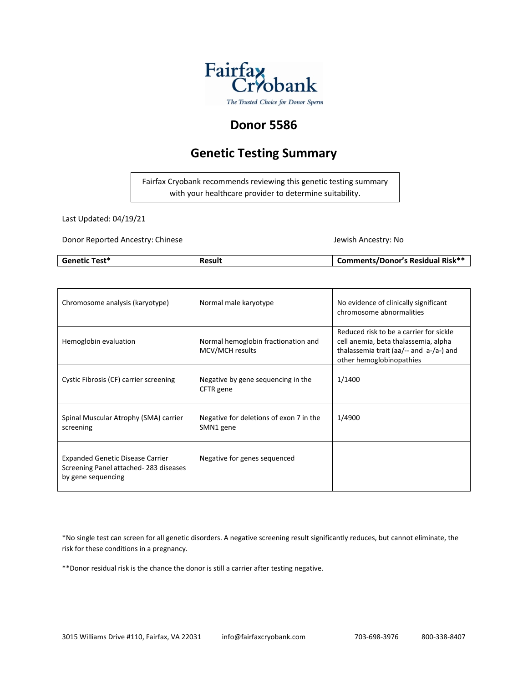

# **Donor 5586**

# **Genetic Testing Summary**

Fairfax Cryobank recommends reviewing this genetic testing summary with your healthcare provider to determine suitability.

Last Updated: 04/19/21

Donor Reported Ancestry: Chinese Jewish Ancestry: No

| <b>Genetic Test*</b> | Result | Comments/Donor's Residual Risk** |
|----------------------|--------|----------------------------------|

| Chromosome analysis (karyotype)                                                                        | Normal male karyotype                                  | No evidence of clinically significant<br>chromosome abnormalities                                                                                      |
|--------------------------------------------------------------------------------------------------------|--------------------------------------------------------|--------------------------------------------------------------------------------------------------------------------------------------------------------|
| Hemoglobin evaluation                                                                                  | Normal hemoglobin fractionation and<br>MCV/MCH results | Reduced risk to be a carrier for sickle<br>cell anemia, beta thalassemia, alpha<br>thalassemia trait (aa/-- and a-/a-) and<br>other hemoglobinopathies |
| Cystic Fibrosis (CF) carrier screening                                                                 | Negative by gene sequencing in the<br>CFTR gene        | 1/1400                                                                                                                                                 |
| Spinal Muscular Atrophy (SMA) carrier<br>screening                                                     | Negative for deletions of exon 7 in the<br>SMN1 gene   | 1/4900                                                                                                                                                 |
| <b>Expanded Genetic Disease Carrier</b><br>Screening Panel attached-283 diseases<br>by gene sequencing | Negative for genes sequenced                           |                                                                                                                                                        |

\*No single test can screen for all genetic disorders. A negative screening result significantly reduces, but cannot eliminate, the risk for these conditions in a pregnancy.

\*\*Donor residual risk is the chance the donor is still a carrier after testing negative.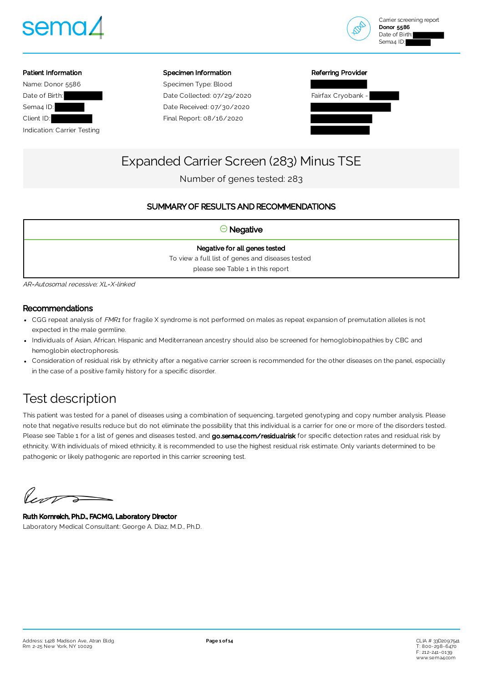



# Patient Information Name: Donor 5586 Date of Birth: Sema4 ID: Client ID: Indication: Carrier Testing

#### Specimen Information

Specimen Type: Blood Date Collected: 07/29/2020 Date Received: 07/30/2020 Final Report: 08/16/2020

| Referring Provider |  |
|--------------------|--|
|                    |  |



# Expanded Carrier Screen (283) Minus TSE

Number of genes tested: 283

# SUMMARY OF RESULTS AND RECOMMENDATIONS

# $\Theta$  Negative

Negative for all genes tested To view a full list of genes and diseases tested please see Table 1 in this report

AR=Autosomal recessive; XL=X-linked

# Recommendations

- CGG repeat analysis of FMR1 for fragile X syndrome is not performed on males as repeat expansion of premutation alleles is not expected in the male germline.
- Individuals of Asian, African, Hispanic and Mediterranean ancestry should also be screened for hemoglobinopathies by CBC and hemoglobin electrophoresis.
- Consideration of residual risk by ethnicity after a negative carrier screen is recommended for the other diseases on the panel, especially in the case of a positive family history for a specific disorder.

# Test description

This patient was tested for a panel of diseases using a combination of sequencing, targeted genotyping and copy number analysis. Please note that negative results reduce but do not eliminate the possibility that this individual is a carrier for one or more of the disorders tested. Please see Table 1 for a list of genes and diseases tested, and [go.sema4.com/residualrisk](https://go.sema4.com/residualrisk) for specific detection rates and residual risk by ethnicity. With individuals of mixed ethnicity, it is recommended to use the highest residual risk estimate. Only variants determined to be pathogenic or likely pathogenic are reported in this carrier screening test.

Vent

Ruth Kornreich, Ph.D., FACMG, Laboratory Director Laboratory Medical Consultant: George A. Diaz, M.D., Ph.D.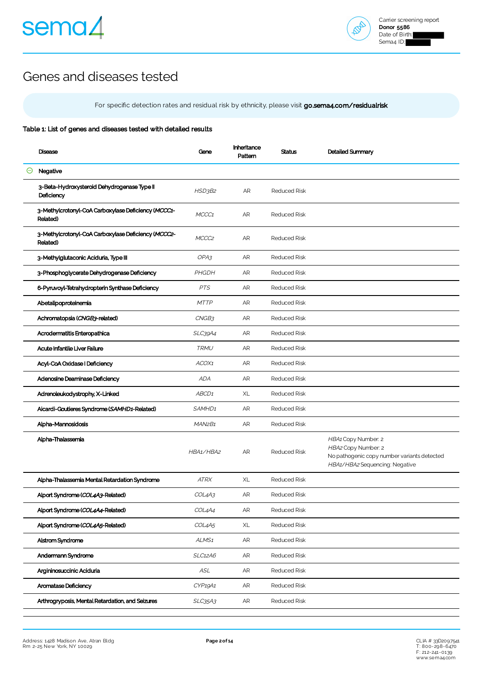



# Genes and diseases tested

For specific detection rates and residual risk by ethnicity, please visit [go.sema4.com/residualrisk](https://go.sema4.com/residualrisk)

## Table 1: List of genes and diseases tested with detailed results

|   | Disease                                                         | Gene                            | Inheritance<br>Pattern | <b>Status</b>       | Detailed Summary                                                                                                            |
|---|-----------------------------------------------------------------|---------------------------------|------------------------|---------------------|-----------------------------------------------------------------------------------------------------------------------------|
| Θ | Negative                                                        |                                 |                        |                     |                                                                                                                             |
|   | 3-Beta-Hydroxysteroid Dehydrogenase Type II<br>Deficiency       | HSD3B2                          | AR                     | <b>Reduced Risk</b> |                                                                                                                             |
|   | 3-Methylcrotonyl-CoA Carboxylase Deficiency (MCCC1-<br>Related) | MCCC1                           | AR                     | <b>Reduced Risk</b> |                                                                                                                             |
|   | 3-Methylcrotonyl-CoA Carboxylase Deficiency (MCCC2-<br>Related) | MCCC <sub>2</sub>               | AR                     | <b>Reduced Risk</b> |                                                                                                                             |
|   | 3-Methylglutaconic Aciduria, Type III                           | OPA3                            | AR                     | <b>Reduced Risk</b> |                                                                                                                             |
|   | 3-Phosphoglycerate Dehydrogenase Deficiency                     | PHGDH                           | AR                     | <b>Reduced Risk</b> |                                                                                                                             |
|   | 6-Pyruvoyl-Tetrahydropterin Synthase Deficiency                 | <b>PTS</b>                      | AR                     | <b>Reduced Risk</b> |                                                                                                                             |
|   | Abetalipoproteinemia                                            | <b>MTTP</b>                     | AR                     | <b>Reduced Risk</b> |                                                                                                                             |
|   | Achromatopsia (CNGB3-related)                                   | CNGB3                           | AR                     | <b>Reduced Risk</b> |                                                                                                                             |
|   | Acrodermatitis Enteropathica                                    | SLC39A4                         | AR                     | <b>Reduced Risk</b> |                                                                                                                             |
|   | Acute Infantile Liver Failure                                   | TRMU                            | AR                     | <b>Reduced Risk</b> |                                                                                                                             |
|   | Acyl-CoA Oxidase I Deficiency                                   | ACOX1                           | AR                     | <b>Reduced Risk</b> |                                                                                                                             |
|   | Adenosine Deaminase Deficiency                                  | <b>ADA</b>                      | AR.                    | <b>Reduced Risk</b> |                                                                                                                             |
|   | Adrenoleukodystrophy, X-Linked                                  | ABCD <sub>1</sub>               | XL                     | <b>Reduced Risk</b> |                                                                                                                             |
|   | Aicardi-Goutieres Syndrome (SAMHD1-Related)                     | SAMHD1                          | AR                     | <b>Reduced Risk</b> |                                                                                                                             |
|   | Alpha-Mannosidosis                                              | MAN <sub>2</sub> B <sub>1</sub> | AR                     | <b>Reduced Risk</b> |                                                                                                                             |
|   | Alpha-Thalassemia                                               | HBA1/HBA2                       | AR.                    | <b>Reduced Risk</b> | HBA1 Copy Number: 2<br>HBA2 Copy Number: 2<br>No pathogenic copy number variants detected<br>HBA1/HBA2 Sequencing: Negative |
|   | Alpha-Thalassemia Mental Retardation Syndrome                   | <b>ATRX</b>                     | XL                     | <b>Reduced Risk</b> |                                                                                                                             |
|   | Alport Syndrome (COL4A3-Related)                                | COL4A3                          | AR                     | <b>Reduced Risk</b> |                                                                                                                             |
|   | Alport Syndrome (COL4A4-Related)                                | COL4A4                          | ${\sf AR}$             | Reduced Risk        |                                                                                                                             |
|   | Alport Syndrome (COL4A5-Related)                                | COL4A5                          | XL                     | Reduced Risk        |                                                                                                                             |
|   | Alstrom Syndrome                                                | ALMS <sub>1</sub>               | AR                     | <b>Reduced Risk</b> |                                                                                                                             |
|   | Andermann Syndrome                                              | <b>SLC12A6</b>                  | AR                     | Reduced Risk        |                                                                                                                             |
|   | Argininosuccinic Aciduria                                       | ASL                             | AR                     | Reduced Risk        |                                                                                                                             |
|   | Aromatase Deficiency                                            | CYP19A1                         | AR                     | Reduced Risk        |                                                                                                                             |
|   | Arthrogryposis, Mental Retardation, and Seizures                | SLC35A3                         | ${\sf AR}$             | Reduced Risk        |                                                                                                                             |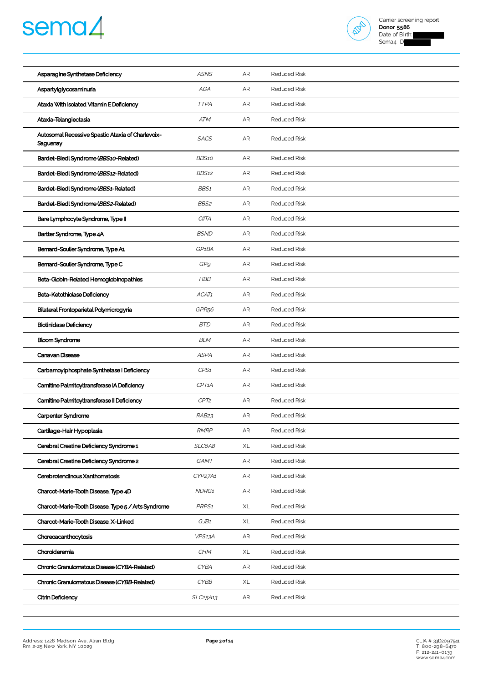



| Asparagine Synthetase Deficiency                              | <b>ASNS</b>        | AR | <b>Reduced Risk</b> |
|---------------------------------------------------------------|--------------------|----|---------------------|
| Aspartylglycosaminuria                                        | AGA                | AR | <b>Reduced Risk</b> |
| Ataxia With Isolated Vitamin E Deficiency                     | <b>TTPA</b>        | AR | <b>Reduced Risk</b> |
| Ataxia-Telangiectasia                                         | <b>ATM</b>         | AR | <b>Reduced Risk</b> |
| Autosomal Recessive Spastic Ataxia of Charlevoix-<br>Saguenay | <b>SACS</b>        | AR | <b>Reduced Risk</b> |
| Bardet-Biedl Syndrome (BBS10-Related)                         | <b>BBS10</b>       | AR | <b>Reduced Risk</b> |
| Bardet-Biedl Syndrome (BBS12-Related)                         | <b>BBS12</b>       | AR | <b>Reduced Risk</b> |
| Bardet-Biedl Syndrome (BBS1-Related)                          | BBS1               | AR | <b>Reduced Risk</b> |
| Bardet-Biedl Syndrome (BBS2-Related)                          | BBS2               | AR | <b>Reduced Risk</b> |
| Bare Lymphocyte Syndrome, Type II                             | <b>CIITA</b>       | AR | <b>Reduced Risk</b> |
| Bartter Syndrome, Type 4A                                     | <b>BSND</b>        | AR | <b>Reduced Risk</b> |
| Bernard-Soulier Syndrome, Type A1                             | GP <sub>1</sub> BA | AR | <b>Reduced Risk</b> |
| Bernard-Soulier Syndrome, Type C                              | GP9                | AR | <b>Reduced Risk</b> |
| Beta-Globin-Related Hemoglobinopathies                        | <b>HBB</b>         | AR | <b>Reduced Risk</b> |
| Beta-Ketothiolase Deficiency                                  | ACAT1              | AR | <b>Reduced Risk</b> |
| Bilateral Frontoparietal Polymicrogyria                       | GPR <sub>56</sub>  | AR | <b>Reduced Risk</b> |
| <b>Biotinidase Deficiency</b>                                 | <b>BTD</b>         | AR | <b>Reduced Risk</b> |
| <b>Bloom Syndrome</b>                                         | <b>BLM</b>         | AR | <b>Reduced Risk</b> |
| Canavan Disease                                               | <b>ASPA</b>        | AR | <b>Reduced Risk</b> |
| Carbamoylphosphate Synthetase I Deficiency                    | CPS1               | AR | <b>Reduced Risk</b> |
| Carnitine Palmitoyltransferase IA Deficiency                  | CPT1A              | AR | <b>Reduced Risk</b> |
| Carnitine Palmitoyltransferase II Deficiency                  | CPT2               | AR | <b>Reduced Risk</b> |
| Carpenter Syndrome                                            | RAB <sub>23</sub>  | AR | <b>Reduced Risk</b> |
| Cartilage-Hair Hypoplasia                                     | <b>RMRP</b>        | AR | Reduced Risk        |
| Cerebral Creatine Deficiency Syndrome 1                       | SLC6A8             | XL | <b>Reduced Risk</b> |
| Cerebral Creatine Deficiency Syndrome 2                       | GAMT               | AR | <b>Reduced Risk</b> |
| Cerebrotendinous Xanthomatosis                                | CYP27A1            | AR | <b>Reduced Risk</b> |
| Charcot-Marie-Tooth Disease, Type 4D                          | NDRG1              | AR | <b>Reduced Risk</b> |
| Charcot-Marie-Tooth Disease, Type 5 / Arts Syndrome           | PRPS <sub>1</sub>  | XL | <b>Reduced Risk</b> |
| Charcot-Marie-Tooth Disease, X-Linked                         | GJB1               | XL | <b>Reduced Risk</b> |
| Choreoacanthocytosis                                          | VPS13A             | AR | <b>Reduced Risk</b> |
| Choroideremia                                                 | CHM                | XL | <b>Reduced Risk</b> |
| Chronic Granulomatous Disease (CYBA-Related)                  | <b>CYBA</b>        | AR | <b>Reduced Risk</b> |
| Chronic Granulomatous Disease (CYBB-Related)                  | CYBB               | XL | <b>Reduced Risk</b> |
| Citrin Deficiency                                             | SLC25A13           | AR | <b>Reduced Risk</b> |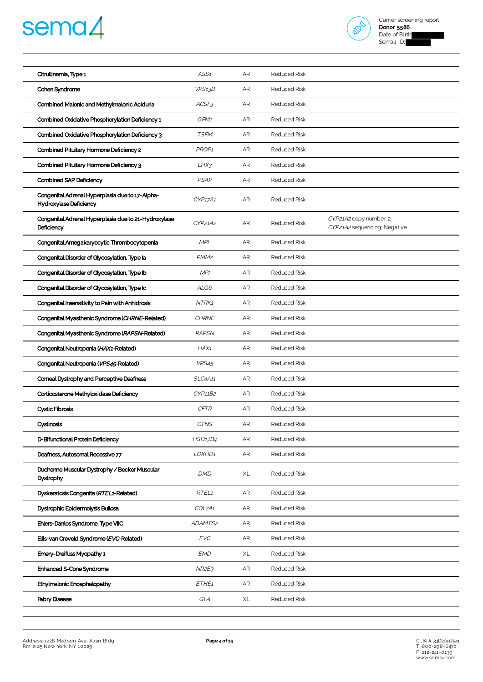# sema4



| Citrullinemia, Type 1                                                     | ASS1              | AR | <b>Reduced Risk</b> |                                                        |
|---------------------------------------------------------------------------|-------------------|----|---------------------|--------------------------------------------------------|
| Cohen Syndrome                                                            | VPS13B            | AR | <b>Reduced Risk</b> |                                                        |
| Combined Malonic and Methylmalonic Aciduria                               | ACSF3             | AR | <b>Reduced Risk</b> |                                                        |
| Combined Oxidative Phosphorylation Deficiency 1                           | GFM1              | AR | <b>Reduced Risk</b> |                                                        |
| Combined Oxidative Phosphorylation Deficiency 3                           | <b>TSFM</b>       | AR | <b>Reduced Risk</b> |                                                        |
| Combined Pituitary Hormone Deficiency 2                                   | PROP1             | AR | <b>Reduced Risk</b> |                                                        |
| Combined Pituitary Hormone Deficiency 3                                   | $L$ H $X$ 3       | AR | <b>Reduced Risk</b> |                                                        |
| Combined SAP Deficiency                                                   | <b>PSAP</b>       | AR | <b>Reduced Risk</b> |                                                        |
| Congenital Adrenal Hyperplasia due to 17-Alpha-<br>Hydroxylase Deficiency | CYP17A1           | AR | <b>Reduced Risk</b> |                                                        |
| Congenital Adrenal Hyperplasia due to 21-Hydroxylase<br>Deficiency        | CYP21A2           | AR | <b>Reduced Risk</b> | CYP21A2 copy number: 2<br>CYP21A2 sequencing: Negative |
| Congenital Amegakaryocytic Thrombocytopenia                               | <b>MPL</b>        | AR | <b>Reduced Risk</b> |                                                        |
| Congenital Disorder of Glycosylation, Type la                             | PMM <sub>2</sub>  | AR | <b>Reduced Risk</b> |                                                        |
| Congenital Disorder of Glycosylation, Type Ib                             | <b>MPI</b>        | AR | <b>Reduced Risk</b> |                                                        |
| Congenital Disorder of Glycosylation, Type Ic                             | ALG6              | AR | <b>Reduced Risk</b> |                                                        |
| Congenital Insensitivity to Pain with Anhidrosis                          | NTRK1             | AR | <b>Reduced Risk</b> |                                                        |
| Congenital Myasthenic Syndrome (CHRNE-Related)                            | <b>CHRNE</b>      | AR | Reduced Risk        |                                                        |
| Congenital Myasthenic Syndrome (RAPSN-Related)                            | <b>RAPSN</b>      | AR | <b>Reduced Risk</b> |                                                        |
| Congenital Neutropenia (HAX1-Related)                                     | HAX1              | AR | <b>Reduced Risk</b> |                                                        |
| Congenital Neutropenia (VPS45-Related)                                    | VPS <sub>45</sub> | AR | <b>Reduced Risk</b> |                                                        |
| Corneal Dystrophy and Perceptive Deafness                                 | SLC4A11           | AR | <b>Reduced Risk</b> |                                                        |
| Corticosterone Methyloxidase Deficiency                                   | CYP11B2           | AR | <b>Reduced Risk</b> |                                                        |
| <b>Cystic Fibrosis</b>                                                    | <b>CFTR</b>       | AR | <b>Reduced Risk</b> |                                                        |
| Cystinosis                                                                | <b>CTNS</b>       | AR | <b>Reduced Risk</b> |                                                        |
| D-Bifunctional Protein Deficiency                                         | <b>HSD17B4</b>    | AR | Reduced Risk        |                                                        |
| Deafness, Autosomal Recessive 77                                          | LOXHD1            | AR | <b>Reduced Risk</b> |                                                        |
| Duchenne Muscular Dystrophy / Becker Muscular<br>Dystrophy                | <b>DMD</b>        | XL | <b>Reduced Risk</b> |                                                        |
| Dyskeratosis Congenita (RTEL1-Related)                                    | RTEL1             | AR | <b>Reduced Risk</b> |                                                        |
| Dystrophic Epidermolysis Bullosa                                          | COL7A1            | AR | <b>Reduced Risk</b> |                                                        |
| Ehlers-Danlos Syndrome, Type VIIC                                         | ADAMTS2           | AR | <b>Reduced Risk</b> |                                                        |
| Ellis-van Creveld Syndrome (EVC-Related)                                  | <b>EVC</b>        | AR | <b>Reduced Risk</b> |                                                        |
| Emery-Dreifuss Myopathy 1                                                 | <b>EMD</b>        | XL | <b>Reduced Risk</b> |                                                        |
| Enhanced S-Cone Syndrome                                                  | NR2E3             | AR | <b>Reduced Risk</b> |                                                        |
| Ethylmalonic Encephalopathy                                               | ETHE1             | AR | <b>Reduced Risk</b> |                                                        |
| <b>Fabry Disease</b>                                                      | GLA               | XL | Reduced Risk        |                                                        |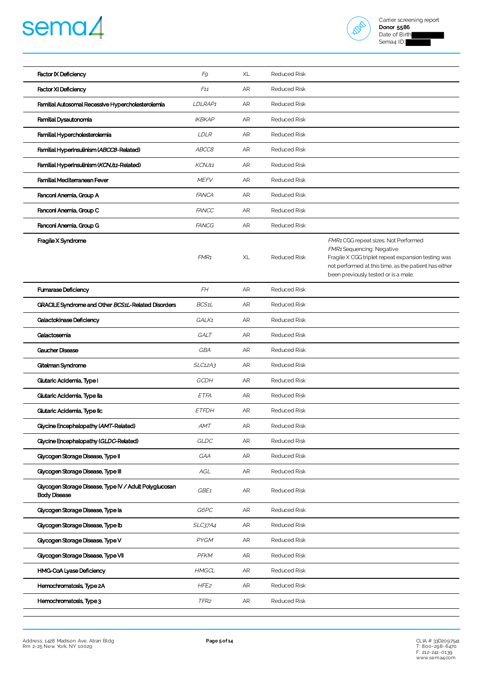# sema4



| <b>Factor IX Deficiency</b>                                                   | F9               | XL         | <b>Reduced Risk</b> |                                                                                                                                                                                                                          |
|-------------------------------------------------------------------------------|------------------|------------|---------------------|--------------------------------------------------------------------------------------------------------------------------------------------------------------------------------------------------------------------------|
| <b>Factor XI Deficiency</b>                                                   | F11              | AR         | <b>Reduced Risk</b> |                                                                                                                                                                                                                          |
| Familial Autosomal Recessive Hypercholesterolemia                             | LDLRAP1          | AR         | Reduced Risk        |                                                                                                                                                                                                                          |
| Familial Dysautonomia                                                         | <b>IKBKAP</b>    | AR         | <b>Reduced Risk</b> |                                                                                                                                                                                                                          |
| Familial Hypercholesterolemia                                                 | <b>LDLR</b>      | AR         | <b>Reduced Risk</b> |                                                                                                                                                                                                                          |
| Familial Hyperinsulinism (ABCC8-Related)                                      | ABCC8            | AR         | <b>Reduced Risk</b> |                                                                                                                                                                                                                          |
| Familial Hyperinsulinism (KCNJ11-Related)                                     | KCNJ11           | ${\sf AR}$ | <b>Reduced Risk</b> |                                                                                                                                                                                                                          |
| Familial Mediterranean Fever                                                  | <b>MEFV</b>      | AR         | <b>Reduced Risk</b> |                                                                                                                                                                                                                          |
| Fanconi Anemia, Group A                                                       | <b>FANCA</b>     | AR         | <b>Reduced Risk</b> |                                                                                                                                                                                                                          |
| Fanconi Anemia, Group C                                                       | <b>FANCC</b>     | AR         | <b>Reduced Risk</b> |                                                                                                                                                                                                                          |
| Fanconi Anemia, Group G                                                       | <b>FANCG</b>     | AR         | <b>Reduced Risk</b> |                                                                                                                                                                                                                          |
| Fragile X Syndrome                                                            | FMR <sub>1</sub> | XL         | <b>Reduced Risk</b> | FMR1 CGG repeat sizes: Not Performed<br>FMR1 Sequencing: Negative<br>Fragile X CGG triplet repeat expansion testing was<br>not performed at this time, as the patient has either<br>been previously tested or is a male. |
| <b>Fumarase Deficiency</b>                                                    | FH               | AR         | <b>Reduced Risk</b> |                                                                                                                                                                                                                          |
| GRACILE Syndrome and Other BCS1L-Related Disorders                            | BCS1L            | AR         | <b>Reduced Risk</b> |                                                                                                                                                                                                                          |
| Galactokinase Deficiency                                                      | GALK1            | AR         | <b>Reduced Risk</b> |                                                                                                                                                                                                                          |
| Galactosemia                                                                  | GALT             | ${\sf AR}$ | <b>Reduced Risk</b> |                                                                                                                                                                                                                          |
| <b>Caucher Disease</b>                                                        | GBA              | AR         | <b>Reduced Risk</b> |                                                                                                                                                                                                                          |
| Gitelman Syndrome                                                             | SLC12A3          | AR         | Reduced Risk        |                                                                                                                                                                                                                          |
| Glutaric Acidemia, Type I                                                     | GCDH             | AR         | <b>Reduced Risk</b> |                                                                                                                                                                                                                          |
| Glutaric Acidemia, Type lla                                                   | ETFA             | AR         | <b>Reduced Risk</b> |                                                                                                                                                                                                                          |
| Glutaric Acidemia, Type IIc                                                   | <b>ETFDH</b>     | AR         | <b>Reduced Risk</b> |                                                                                                                                                                                                                          |
| Glycine Encephalopathy (AMT-Related)                                          | AMT              | AR         | Reduced Risk        |                                                                                                                                                                                                                          |
| Glycine Encephalopathy (GLDC-Related)                                         | GLDC             | AR         | Reduced Risk        |                                                                                                                                                                                                                          |
| Glycogen Storage Disease, Type II                                             | GAA              | AR         | <b>Reduced Risk</b> |                                                                                                                                                                                                                          |
| Glycogen Storage Disease, Type III                                            | AGL              | ${\sf AR}$ | Reduced Risk        |                                                                                                                                                                                                                          |
| Glycogen Storage Disease, Type IV / Adult Polyglucosan<br><b>Body Disease</b> | GBE1             | AR         | <b>Reduced Risk</b> |                                                                                                                                                                                                                          |
| Glycogen Storage Disease, Type la                                             | G6PC             | AR         | <b>Reduced Risk</b> |                                                                                                                                                                                                                          |
| Glycogen Storage Disease, Type Ib                                             | SLC37A4          | AR         | <b>Reduced Risk</b> |                                                                                                                                                                                                                          |
| Glycogen Storage Disease, Type V                                              | PYGM             | AR         | <b>Reduced Risk</b> |                                                                                                                                                                                                                          |
| Glycogen Storage Disease, Type VII                                            | PFKM             | AR         | <b>Reduced Risk</b> |                                                                                                                                                                                                                          |
| HMG-CoA Lyase Deficiency                                                      | <b>HMGCL</b>     | AR         | <b>Reduced Risk</b> |                                                                                                                                                                                                                          |
| Hemochromatosis, Type 2A                                                      | HFE <sub>2</sub> | AR         | <b>Reduced Risk</b> |                                                                                                                                                                                                                          |
| Hemochromatosis, Type 3                                                       | TFR <sub>2</sub> | AR         | <b>Reduced Risk</b> |                                                                                                                                                                                                                          |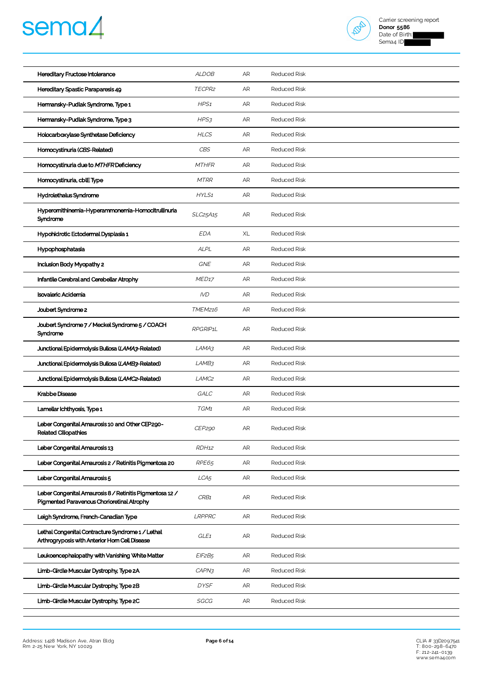



| Hereditary Fructose Intolerance                                                                        | <b>ALDOB</b>      | AR | <b>Reduced Risk</b> |
|--------------------------------------------------------------------------------------------------------|-------------------|----|---------------------|
| Hereditary Spastic Paraparesis 49                                                                      | TECPR2            | AR | <b>Reduced Risk</b> |
| Hermansky-Pudlak Syndrome, Type 1                                                                      | HPS1              | AR | <b>Reduced Risk</b> |
| Hermansky-Pudlak Syndrome, Type 3                                                                      | HPS3              | AR | <b>Reduced Risk</b> |
| Holocarboxylase Synthetase Deficiency                                                                  | <b>HLCS</b>       | AR | <b>Reduced Risk</b> |
| Homocystinuria (CBS-Related)                                                                           | CBS               | AR | <b>Reduced Risk</b> |
| Homocystinuria due to MTHFR Deficiency                                                                 | <b>MTHFR</b>      | AR | <b>Reduced Risk</b> |
| Homocystinuria, cblEType                                                                               | <b>MTRR</b>       | AR | <b>Reduced Risk</b> |
| Hydrolethalus Syndrome                                                                                 | HYLS1             | AR | <b>Reduced Risk</b> |
| Hyperomithinemia-Hyperammonemia-Homocitrullinuria<br>Syndrome                                          | SLC25A15          | AR | <b>Reduced Risk</b> |
| Hypohidrotic Ectodermal Dysplasia 1                                                                    | <b>EDA</b>        | XL | <b>Reduced Risk</b> |
| Hypophosphatasia                                                                                       | <b>ALPL</b>       | AR | <b>Reduced Risk</b> |
| Inclusion Body Myopathy 2                                                                              | GNE               | AR | <b>Reduced Risk</b> |
| Infantile Cerebral and Cerebellar Atrophy                                                              | MED <sub>17</sub> | AR | <b>Reduced Risk</b> |
| <b>Isovaleric Acidemia</b>                                                                             | <b>IVD</b>        | AR | <b>Reduced Risk</b> |
| Joubert Syndrome 2                                                                                     | <b>TMEM216</b>    | AR | <b>Reduced Risk</b> |
| Joubert Syndrome 7 / Meckel Syndrome 5 / COACH<br>Syndrome                                             | RPGRIP1L          | AR | <b>Reduced Risk</b> |
| Junctional Epidermolysis Bullosa (LAMA3-Related)                                                       | LAMA3             | AR | <b>Reduced Risk</b> |
| Junctional Epidermolysis Bullosa (LAMB3-Related)                                                       | LAMB3             | AR | <b>Reduced Risk</b> |
| Junctional Epidermolysis Bullosa (LAMC2-Related)                                                       | LAMC <sub>2</sub> | AR | <b>Reduced Risk</b> |
| Krabbe Disease                                                                                         | GALC              | AR | <b>Reduced Risk</b> |
| Lamellar Ichthyosis, Type 1                                                                            | TGM1              | AR | <b>Reduced Risk</b> |
| Leber Congenital Amaurosis 10 and Other CEP290-<br><b>Related Ciliopathies</b>                         | CEP290            | AR | <b>Reduced Risk</b> |
| Leber Congenital Amaurosis 13                                                                          | RDH <sub>12</sub> | AR | <b>Reduced Risk</b> |
| Leber Congenital Amaurosis 2 / Retinitis Pigmentosa 20                                                 | RPE65             | AR | <b>Reduced Risk</b> |
| Leber Congenital Amaurosis 5                                                                           | LCA <sub>5</sub>  | AR | <b>Reduced Risk</b> |
| Leber Congenital Amaurosis 8 / Retinitis Pigmentosa 12 /<br>Pigmented Paravenous Chorioretinal Atrophy | CRB1              | AR | <b>Reduced Risk</b> |
| Leigh Syndrome, French-Canadian Type                                                                   | LRPPRC            | AR | <b>Reduced Risk</b> |
| Lethal Congenital Contracture Syndrome 1 / Lethal<br>Arthrogryposis with Anterior Horn Cell Disease    | GLE <sub>1</sub>  | AR | <b>Reduced Risk</b> |
| Leukoencephalopathy with Vanishing White Matter                                                        | EIF2B5            | AR | <b>Reduced Risk</b> |
| Limb-Girdle Muscular Dystrophy, Type 2A                                                                | CAPN3             | AR | <b>Reduced Risk</b> |
| Limb-Girdle Muscular Dystrophy, Type 2B                                                                | <b>DYSF</b>       | AR | <b>Reduced Risk</b> |
| Limb-Girdle Muscular Dystrophy, Type 2C                                                                | SGCG              | AR | <b>Reduced Risk</b> |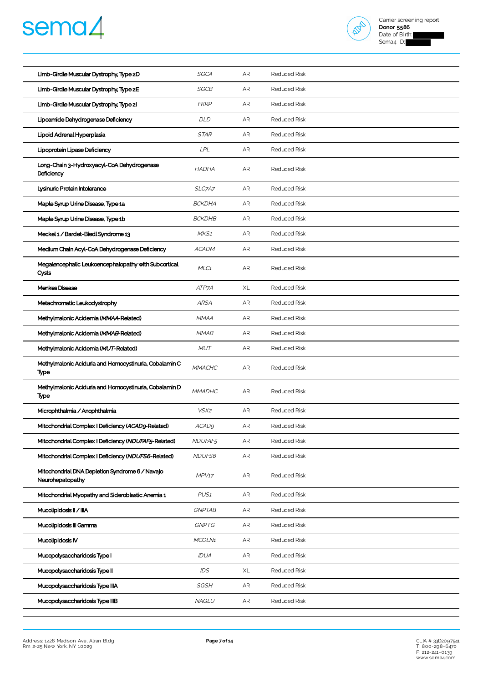



| Limb-Girdle Muscular Dystrophy, Type 2D                             | SGCA                | AR | <b>Reduced Risk</b> |
|---------------------------------------------------------------------|---------------------|----|---------------------|
| Limb-Girdle Muscular Dystrophy, Type 2E                             | SGCB                | AR | <b>Reduced Risk</b> |
| Limb-Girdle Muscular Dystrophy, Type 21                             | <b>FKRP</b>         | AR | <b>Reduced Risk</b> |
| Lipoamide Dehydrogenase Deficiency                                  | DLD                 | AR | <b>Reduced Risk</b> |
| Lipoid Adrenal Hyperplasia                                          | <b>STAR</b>         | AR | <b>Reduced Risk</b> |
| Lipoprotein Lipase Deficiency                                       | <b>LPL</b>          | AR | <b>Reduced Risk</b> |
| Long-Chain 3-Hydroxyacyl-CoA Dehydrogenase<br>Deficiency            | <b>HADHA</b>        | AR | <b>Reduced Risk</b> |
| Lysinuric Protein Intolerance                                       | SLC7A7              | AR | <b>Reduced Risk</b> |
| Maple Syrup Urine Disease, Type 1a                                  | <b>BCKDHA</b>       | AR | <b>Reduced Risk</b> |
| Maple Syrup Urine Disease, Type 1b                                  | <b>BCKDHB</b>       | AR | <b>Reduced Risk</b> |
| Meckel 1 / Bardet-Biedl Syndrome 13                                 | MKS1                | AR | <b>Reduced Risk</b> |
| Medium Chain Acyl-CoA Dehydrogenase Deficiency                      | <b>ACADM</b>        | AR | <b>Reduced Risk</b> |
| Megalencephalic Leukoencephalopathy with Subcortical<br>Cysts       | MLC1                | AR | <b>Reduced Risk</b> |
| Menkes Disease                                                      | ATP7A               | XL | <b>Reduced Risk</b> |
| Metachromatic Leukodystrophy                                        | <b>ARSA</b>         | AR | <b>Reduced Risk</b> |
| Methylmalonic Acidemia (MMAA-Related)                               | <b>MMAA</b>         | AR | <b>Reduced Risk</b> |
| Methylmalonic Acidemia (MMAB-Related)                               | <b>MMAB</b>         | AR | <b>Reduced Risk</b> |
| Methylmalonic Acidemia (MUT-Related)                                | <b>MUT</b>          | AR | <b>Reduced Risk</b> |
| Methylmalonic Aciduria and Homocystinuria, Cobalamin C<br>Type      | <b>MMACHC</b>       | AR | <b>Reduced Risk</b> |
| Methylmalonic Aciduria and Homocystinuria, Cobalamin D<br>Type      | <b>MMADHC</b>       | AR | <b>Reduced Risk</b> |
| Microphthalmia / Anophthalmia                                       | VSX2                | AR | <b>Reduced Risk</b> |
| Mitochondrial Complex   Deficiency (ACAD9-Related)                  | ACAD <sub>9</sub>   | AR | <b>Reduced Risk</b> |
| Mitochondrial Complex   Deficiency (NDUFAF5-Related)                | NDUFAF <sub>5</sub> | AR | <b>Reduced Risk</b> |
| Mitochondrial Complex   Deficiency (NDUFS6-Related)                 | NDUFS6              | AR | <b>Reduced Risk</b> |
| Mitochondrial DNA Depletion Syndrome 6 / Navajo<br>Neurohepatopathy | MPV17               | AR | <b>Reduced Risk</b> |
| Mitochondrial Myopathy and Sideroblastic Anemia 1                   | PUS <sub>1</sub>    | AR | <b>Reduced Risk</b> |
| Mucolipidosis II / IIIA                                             | <b>GNPTAB</b>       | AR | <b>Reduced Risk</b> |
| Mucolipidosis III Gamma                                             | <b>GNPTG</b>        | AR | <b>Reduced Risk</b> |
| Mucolipidosis IV                                                    | MCOLN1              | AR | <b>Reduced Risk</b> |
| Mucopolysaccharidosis Type I                                        | IDUA                | AR | <b>Reduced Risk</b> |
| Mucopolysaccharidosis Type II                                       | IDS                 | XL | <b>Reduced Risk</b> |
| Mucopolysaccharidosis Type IIIA                                     | SGSH                | AR | <b>Reduced Risk</b> |
| Mucopolysaccharidosis Type IIIB                                     | NAGLU               | AR | <b>Reduced Risk</b> |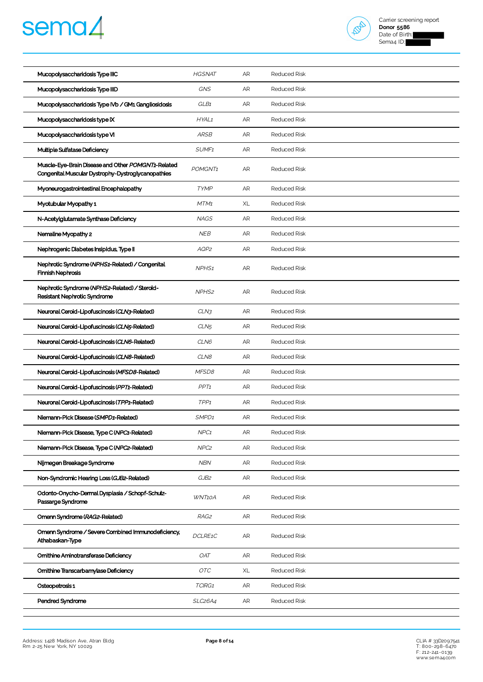



| Mucopolysaccharidosis Type IIIC                                                                          | <b>HGSNAT</b>        | AR        | <b>Reduced Risk</b> |
|----------------------------------------------------------------------------------------------------------|----------------------|-----------|---------------------|
| Mucopolysaccharidosis Type IIID                                                                          | <b>GNS</b>           | AR        | <b>Reduced Risk</b> |
| Mucopolysaccharidosis Type IVb / GM1 Gangliosidosis                                                      | GLB1                 | AR        | <b>Reduced Risk</b> |
| Mucopolysaccharidosis type IX                                                                            | HYAL1                | AR        | <b>Reduced Risk</b> |
| Mucopolysaccharidosis type VI                                                                            | <b>ARSB</b>          | AR        | <b>Reduced Risk</b> |
| Multiple Sulfatase Deficiency                                                                            | SUMF <sub>1</sub>    | AR        | <b>Reduced Risk</b> |
| Muscle-Eye-Brain Disease and Other POMGNT1-Related<br>Congenital Muscular Dystrophy-Dystroglycanopathies | POMGNT <sub>1</sub>  | AR        | <b>Reduced Risk</b> |
| Myoneurogastrointestinal Encephalopathy                                                                  | <b>TYMP</b>          | AR        | <b>Reduced Risk</b> |
| Myotubular Myopathy 1                                                                                    | MTM1                 | XL        | <b>Reduced Risk</b> |
| N-Acetylglutamate Synthase Deficiency                                                                    | <b>NAGS</b>          | AR        | <b>Reduced Risk</b> |
| Nemaline Myopathy 2                                                                                      | <b>NEB</b>           | AR        | <b>Reduced Risk</b> |
| Nephrogenic Diabetes Insipidus, Type II                                                                  | AQP2                 | <b>AR</b> | <b>Reduced Risk</b> |
| Nephrotic Syndrome (NPHS1-Related) / Congenital<br><b>Finnish Nephrosis</b>                              | NPHS <sub>1</sub>    | <b>AR</b> | <b>Reduced Risk</b> |
| Nephrotic Syndrome (NPHS2-Related) / Steroid-<br>Resistant Nephrotic Syndrome                            | NPHS <sub>2</sub>    | AR        | <b>Reduced Risk</b> |
| Neuronal Ceroid-Lipofuscinosis (CLN3-Related)                                                            | CLN3                 | AR        | <b>Reduced Risk</b> |
| Neuronal Ceroid-Lipofuscinosis (CLN5-Related)                                                            | CLN <sub>5</sub>     | AR        | <b>Reduced Risk</b> |
| Neuronal Ceroid-Lipofuscinosis (CLN6-Related)                                                            | CLN6                 | AR        | <b>Reduced Risk</b> |
| Neuronal Ceroid-Lipofuscinosis (CLN8-Related)                                                            | CLN8                 | AR        | <b>Reduced Risk</b> |
| Neuronal Ceroid-Lipofuscinosis (MFSD8-Related)                                                           | MFSD8                | AR        | <b>Reduced Risk</b> |
| Neuronal Ceroid-Lipofuscinosis (PPT1-Related)                                                            | PP <sub>T1</sub>     | AR        | <b>Reduced Risk</b> |
| Neuronal Ceroid-Lipofuscinosis (TPP1-Related)                                                            | TPP <sub>1</sub>     | AR        | <b>Reduced Risk</b> |
| Niemann-Pick Disease (SMPD1-Related)                                                                     | SMPD1                | AR        | <b>Reduced Risk</b> |
| Niemann-Pick Disease, Type C (NPC1-Related)                                                              | NPC <sub>1</sub>     | AR        | <b>Reduced Risk</b> |
| Niemann-Pick Disease, Type C (NPC2-Related)                                                              | NPC <sub>2</sub>     | AR        | Reduced Risk        |
| Nijmegen Breakage Syndrome                                                                               | <b>NBN</b>           | AR        | <b>Reduced Risk</b> |
| Non-Syndromic Hearing Loss (GJB2-Related)                                                                | GJB2                 | AR        | <b>Reduced Risk</b> |
| Odonto-Onycho-Dermal Dysplasia / Schopf-Schulz-<br>Passarge Syndrome                                     | WNT10A               | AR        | <b>Reduced Risk</b> |
| Omenn Syndrome (RAG2-Related)                                                                            | RAG2                 | AR        | <b>Reduced Risk</b> |
| Omenn Syndrome / Severe Combined Immunodeficiency,<br>Athabaskan-Type                                    | DCLRE1C              | AR        | <b>Reduced Risk</b> |
| Omithine Aminotransferase Deficiency                                                                     | <b>OAT</b>           | AR        | <b>Reduced Risk</b> |
| Ornithine Transcarbamylase Deficiency                                                                    | OTC                  | XL        | <b>Reduced Risk</b> |
| Osteopetrosis 1                                                                                          | TCIRG1               | AR        | Reduced Risk        |
| Pendred Syndrome                                                                                         | SLC <sub>26</sub> A4 | AR        | <b>Reduced Risk</b> |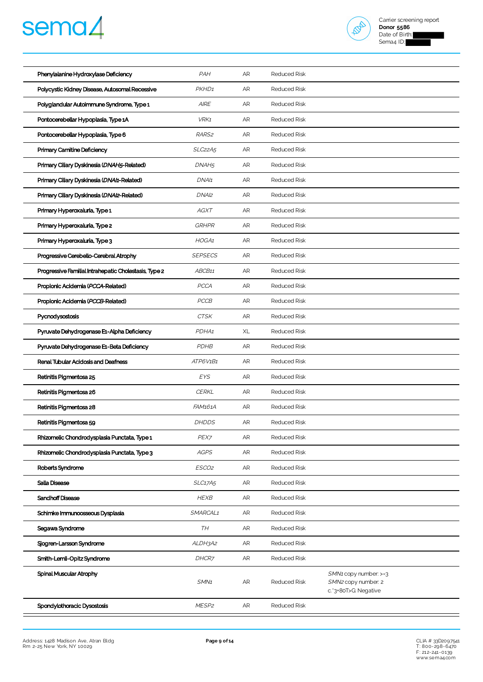



| Phenylalanine Hydroxylase Deficiency                  | PAH                              | AR | <b>Reduced Risk</b> |                                                                      |
|-------------------------------------------------------|----------------------------------|----|---------------------|----------------------------------------------------------------------|
| Polycystic Kidney Disease, Autosomal Recessive        | PKHD <sub>1</sub>                | AR | <b>Reduced Risk</b> |                                                                      |
| Polyglandular Autoimmune Syndrome, Type 1             | <b>AIRE</b>                      | AR | <b>Reduced Risk</b> |                                                                      |
| Pontocerebellar Hypoplasia, Type 1A                   | VRK1                             | AR | <b>Reduced Risk</b> |                                                                      |
| Pontocerebellar Hypoplasia, Type 6                    | RARS <sub>2</sub>                | AR | <b>Reduced Risk</b> |                                                                      |
| Primary Carnitine Deficiency                          | SLC <sub>22</sub> A <sub>5</sub> | AR | <b>Reduced Risk</b> |                                                                      |
| Primary Ciliary Dyskinesia (DNAH5-Related)            | DNAH <sub>5</sub>                | AR | <b>Reduced Risk</b> |                                                                      |
| Primary Ciliary Dyskinesia (DNA/1-Related)            | DNA/1                            | AR | <b>Reduced Risk</b> |                                                                      |
| Primary Ciliary Dyskinesia (DNAI2-Related)            | DNAI2                            | AR | <b>Reduced Risk</b> |                                                                      |
| Primary Hyperoxaluria, Type 1                         | <b>AGXT</b>                      | AR | <b>Reduced Risk</b> |                                                                      |
| Primary Hyperoxaluria, Type 2                         | <b>GRHPR</b>                     | AR | <b>Reduced Risk</b> |                                                                      |
| Primary Hyperoxaluria, Type 3                         | HOGA1                            | AR | <b>Reduced Risk</b> |                                                                      |
| Progressive Cerebello-Cerebral Atrophy                | <b>SEPSECS</b>                   | AR | <b>Reduced Risk</b> |                                                                      |
| Progressive Familial Intrahepatic Cholestasis, Type 2 | ABCB11                           | AR | <b>Reduced Risk</b> |                                                                      |
| Propionic Acidemia (PCCA-Related)                     | PCCA                             | AR | <b>Reduced Risk</b> |                                                                      |
| Propionic Acidemia (PCCB-Related)                     | PCCB                             | AR | <b>Reduced Risk</b> |                                                                      |
| Pycnodysostosis                                       | <b>CTSK</b>                      | AR | <b>Reduced Risk</b> |                                                                      |
| Pyruvate Dehydrogenase E1-Alpha Deficiency            | PDHA1                            | XL | <b>Reduced Risk</b> |                                                                      |
| Pyruvate Dehydrogenase E1-Beta Deficiency             | PDHB                             | AR | <b>Reduced Risk</b> |                                                                      |
| Renal Tubular Acidosis and Deafness                   | ATP6V1B1                         | AR | <b>Reduced Risk</b> |                                                                      |
| Retinitis Pigmentosa 25                               | EYS                              | AR | Reduced Risk        |                                                                      |
| Retinitis Pigmentosa 26                               | <b>CERKL</b>                     | AR | <b>Reduced Risk</b> |                                                                      |
| Retinitis Pigmentosa 28                               | FAM161A                          | AR | <b>Reduced Risk</b> |                                                                      |
| Retinitis Pigmentosa 59                               | <b>DHDDS</b>                     | AR | <b>Reduced Risk</b> |                                                                      |
| Rhizomelic Chondrodysplasia Punctata, Type 1          | PEX7                             | AR | <b>Reduced Risk</b> |                                                                      |
| Rhizomelic Chondrodysplasia Punctata, Type 3          | <b>AGPS</b>                      | AR | <b>Reduced Risk</b> |                                                                      |
| Roberts Syndrome                                      | ESCO2                            | AR | <b>Reduced Risk</b> |                                                                      |
| Salla Disease                                         | SLC17A5                          | AR | <b>Reduced Risk</b> |                                                                      |
| Sandhoff Disease                                      | <b>HEXB</b>                      | AR | <b>Reduced Risk</b> |                                                                      |
| Schimke Immunoosseous Dysplasia                       | SMARCAL1                         | AR | Reduced Risk        |                                                                      |
| Segawa Syndrome                                       | TH                               | AR | <b>Reduced Risk</b> |                                                                      |
| Sjogren-Larsson Syndrome                              | ALDH3A2                          | AR | <b>Reduced Risk</b> |                                                                      |
| Smith-Lemli-Opitz Syndrome                            | DHCR7                            | AR | <b>Reduced Risk</b> |                                                                      |
| Spinal Muscular Atrophy                               | SMN <sub>1</sub>                 | AR | Reduced Risk        | SMN1 copy number: >=3<br>SMN2 copy number: 2<br>c.'3+80T>G: Negative |
| Spondylothoracic Dysostosis                           | MESP <sub>2</sub>                | AR | Reduced Risk        |                                                                      |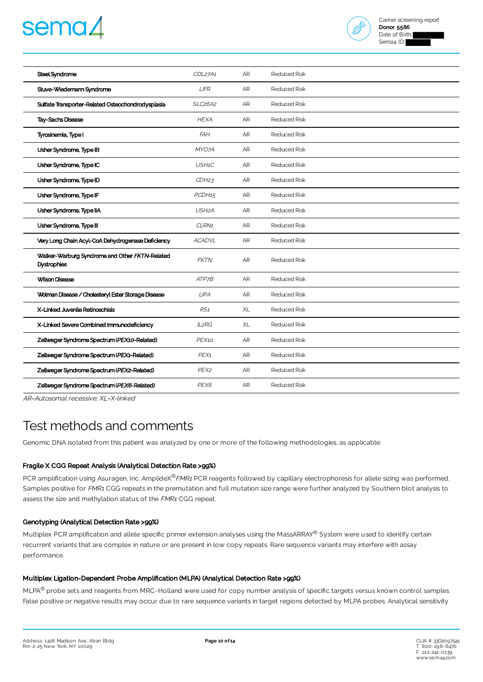# semaz



| Steel Syndrome                                                       | COL27A1                          | <b>AR</b> | <b>Reduced Risk</b> |  |
|----------------------------------------------------------------------|----------------------------------|-----------|---------------------|--|
| Stuve-Wiedemann Syndrome                                             | <b>LIFR</b>                      | <b>AR</b> | <b>Reduced Risk</b> |  |
| Sulfate Transporter-Related Osteochondrodysplasia                    | SLC <sub>26</sub> A <sub>2</sub> | AR        | <b>Reduced Risk</b> |  |
| <b>Tay-Sachs Disease</b>                                             | <b>HEXA</b>                      | <b>AR</b> | <b>Reduced Risk</b> |  |
| Tyrosinemia, Type I                                                  | <b>FAH</b>                       | <b>AR</b> | <b>Reduced Risk</b> |  |
| Usher Syndrome, Type IB                                              | MYO7A                            | AR        | <b>Reduced Risk</b> |  |
| Usher Syndrome, Type IC                                              | USH1C                            | AR        | <b>Reduced Risk</b> |  |
| Usher Syndrome, Type ID                                              | CDH23                            | AR        | <b>Reduced Risk</b> |  |
| Usher Syndrome, Type IF                                              | PCDH <sub>15</sub>               | AR        | <b>Reduced Risk</b> |  |
| Usher Syndrome, Type IIA                                             | USH <sub>2</sub> A               | AR        | <b>Reduced Risk</b> |  |
| Usher Syndrome, Type III                                             | CLRN1                            | <b>AR</b> | <b>Reduced Risk</b> |  |
| Very Long Chain Acyl-CoA Dehydrogenase Deficiency                    | <b>ACADVL</b>                    | <b>AR</b> | <b>Reduced Risk</b> |  |
| Walker-Warburg Syndrome and Other FKTN-Related<br><b>Dystrophies</b> | <b>FKTN</b>                      | <b>AR</b> | <b>Reduced Risk</b> |  |
| <b>Wilson Disease</b>                                                | ATP7B                            | AR        | <b>Reduced Risk</b> |  |
| Wolman Disease / Cholesteryl Ester Storage Disease                   | <b>LIPA</b>                      | AR        | <b>Reduced Risk</b> |  |
| X-Linked Juvenile Retinoschisis                                      | RS1                              | XL        | <b>Reduced Risk</b> |  |
| X-Linked Severe Combined Immunodeficiency                            | <b>IL2RG</b>                     | XL        | <b>Reduced Risk</b> |  |
| Zellweger Syndrome Spectrum (PEX10-Related)                          | PEX10                            | AR        | <b>Reduced Risk</b> |  |
| Zellweger Syndrome Spectrum (PEX1-Related)                           | PEX <sub>1</sub>                 | <b>AR</b> | <b>Reduced Risk</b> |  |
| Zellweger Syndrome Spectrum (PEX2-Related)                           | PEX <sub>2</sub>                 | AR        | <b>Reduced Risk</b> |  |
| Zellweger Syndrome Spectrum (PEX6-Related)                           | PEX6                             | AR        | <b>Reduced Risk</b> |  |
|                                                                      |                                  |           |                     |  |

AR=Autosomal recessive; XL=X-linked

# Test methods and comments

Genomic DNA isolated from this patient was analyzed by one or more of the following methodologies, as applicable:

# Fragile X CGG Repeat Analysis (Analytical Detection Rate >99%)

PCR amplification using Asuragen, Inc. AmplideX<sup>®</sup>FMR1 PCR reagents followed by capillary electrophoresis for allele sizing was performed. Samples positive for FMR1 CGG repeats in the premutation and full mutation size range were further analyzed by Southern blot analysis to assess the size and methylation status of the FMR1 CGG repeat.

# Genotyping (Analytical Detection Rate >99%)

Multiplex PCR amplification and allele specific primer extension analyses using the MassARRAY® System were used to identify certain recurrent variants that are complex in nature or are present in low copy repeats. Rare sequence variants may interfere with assay performance.

# Multiplex Ligation-Dependent Probe Amplification (MLPA) (Analytical Detection Rate >99%)

MLPA® probe sets and reagents from MRC-Holland were used for copy number analysis of specific targets versus known control samples. False positive or negative results may occur due to rare sequence variants in target regions detected by MLPA probes. Analytical sensitivity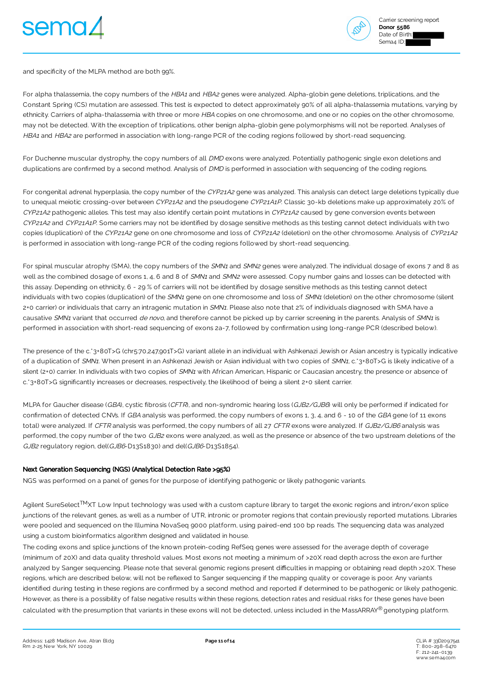



and specificity of the MLPA method are both 99%.

For alpha thalassemia, the copy numbers of the HBA1 and HBA2 genes were analyzed. Alpha-globin gene deletions, triplications, and the Constant Spring (CS) mutation are assessed. This test is expected to detect approximately 90% of all alpha-thalassemia mutations, varying by ethnicity. Carriers of alpha-thalassemia with three or more HBA copies on one chromosome, and one or no copies on the other chromosome, may not be detected. With the exception of triplications, other benign alpha-globin gene polymorphisms will not be reported. Analyses of HBA1 and HBA2 are performed in association with long-range PCR of the coding regions followed by short-read sequencing.

For Duchenne muscular dystrophy, the copy numbers of all DMD exons were analyzed. Potentially pathogenic single exon deletions and duplications are confirmed by a second method. Analysis of DMD is performed in association with sequencing of the coding regions.

For congenital adrenal hyperplasia, the copy number of the CYP21A2 gene was analyzed. This analysis can detect large deletions typically due to unequal meiotic crossing-over between CYP21A2 and the pseudogene CYP21A1P. Classic 30-kb deletions make up approximately 20% of CYP21A2 pathogenic alleles. This test may also identify certain point mutations in CYP21A2 caused by gene conversion events between CYP21A2 and CYP21A1P. Some carriers may not be identified by dosage sensitive methods as this testing cannot detect individuals with two copies (duplication) of the CYP21A2 gene on one chromosome and loss of CYP21A2 (deletion) on the other chromosome. Analysis of CYP21A2 is performed in association with long-range PCR of the coding regions followed by short-read sequencing.

For spinal muscular atrophy (SMA), the copy numbers of the SMN1 and SMN2 genes were analyzed. The individual dosage of exons 7 and 8 as well as the combined dosage of exons 1, 4, 6 and 8 of SMN1 and SMN2 were assessed. Copy number gains and losses can be detected with this assay. Depending on ethnicity, 6 - 29 % of carriers will not be identified by dosage sensitive methods as this testing cannot detect individuals with two copies (duplication) of the SMN1 gene on one chromosome and loss of SMN1 (deletion) on the other chromosome (silent 2+0 carrier) or individuals that carry an intragenic mutation in SMN1. Please also note that 2% of individuals diagnosed with SMA have a causative SMN1 variant that occurred de novo, and therefore cannot be picked up by carrier screening in the parents. Analysis of SMN1 is performed in association with short-read sequencing of exons 2a-7, followed by confirmation using long-range PCR (described below).

The presence of the c.\*3+80T>G (chr5:70,247,901T>G) variant allele in an individual with Ashkenazi Jewish or Asian ancestry is typically indicative of a duplication of SMN1. When present in an Ashkenazi Jewish or Asian individual with two copies of SMN1, c. 3+80T>G is likely indicative of a silent (2+0) carrier. In individuals with two copies of SMN1 with African American, Hispanic or Caucasian ancestry, the presence or absence of c.\*3+80T>G significantly increases or decreases, respectively, the likelihood of being a silent 2+0 silent carrier.

MLPA for Gaucher disease (GBA), cystic fibrosis (CFTR), and non-syndromic hearing loss (GJB2/GJB6) will only be performed if indicated for confirmation of detected CNVs. If GBA analysis was performed, the copy numbers of exons 1, 3, 4, and 6 - 10 of the GBA gene (of 11 exons total) were analyzed. If CFTR analysis was performed, the copy numbers of all 27 CFTR exons were analyzed. If GJB2/GJB6 analysis was performed, the copy number of the two GJB2 exons were analyzed, as well as the presence or absence of the two upstream deletions of the GJB2 regulatory region, del(GJB6-D13S1830) and del(GJB6-D13S1854).

# Next Generation Sequencing (NGS) (Analytical Detection Rate >95%)

NGS was performed on a panel of genes for the purpose of identifying pathogenic or likely pathogenic variants.

Agilent SureSelect<sup>TM</sup>XT Low Input technology was used with a custom capture library to target the exonic regions and intron/exon splice junctions of the relevant genes, as well as a number of UTR, intronic or promoter regions that contain previously reported mutations. Libraries were pooled and sequenced on the Illumina NovaSeq 9000 platform, using paired-end 100 bp reads. The sequencing data was analyzed using a custom bioinformatics algorithm designed and validated in house.

The coding exons and splice junctions of the known protein-coding RefSeq genes were assessed for the average depth of coverage (minimum of 20X) and data quality threshold values. Most exons not meeting a minimum of >20X read depth across the exon are further analyzed by Sanger sequencing. Please note that several genomic regions present difficulties in mapping or obtaining read depth >20X. These regions, which are described below, will not be reflexed to Sanger sequencing if the mapping quality or coverage is poor. Any variants identified during testing in these regions are confirmed by a second method and reported if determined to be pathogenic or likely pathogenic. However, as there is a possibility of false negative results within these regions, detection rates and residual risks for these genes have been calculated with the presumption that variants in these exons will not be detected, unless included in the MassARRAY® genotyping platform.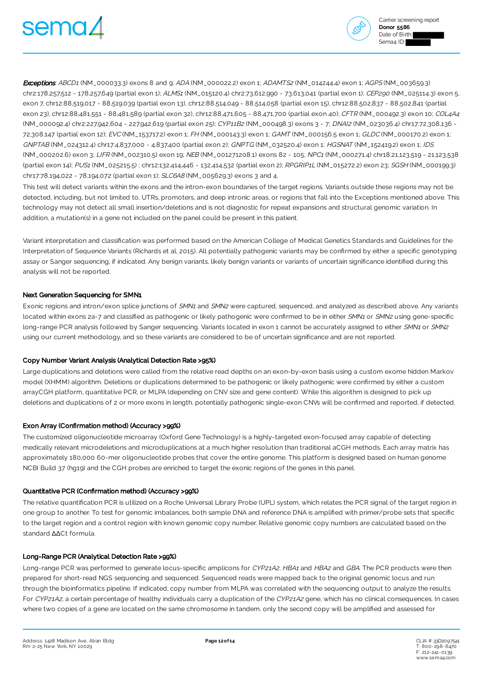



Exceptions: ABCD1 (NM\_000033.3) exons 8 and 9; ADA (NM\_000022.2) exon 1; ADAMTS2 (NM\_014244.4) exon 1; AGPS (NM\_003659.3) chr2:178,257,512 - 178,257,649 (partial exon 1); ALMS1 (NM\_015120.4) chr2:73,612,990 - 73,613,041 (partial exon 1); CEP290 (NM\_025114.3) exon 5, exon 7, chr12:88,519,017 - 88,519,039 (partial exon 13), chr12:88,514,049 - 88,514,058 (partial exon 15), chr12:88,502,837 - 88,502,841 (partial exon 23), chr12:88,481,551 - 88,481,589 (partial exon 32), chr12:88,471,605 - 88,471,700 (partial exon 40); CFTR (NM\_000492.3) exon 10; COL4A4 (NM\_000092.4) chr2:227,942,604 - 227,942,619 (partial exon 25); CYP11B2 (NM\_000498.3) exons 3 - 7; DNAI2 (NM\_023036.4) chr17:72,308,136 - 72,308,147 (partial exon 12); EVC (NM\_153717.2) exon 1; FH (NM\_000143.3) exon 1; GAMT (NM\_000156.5 exon 1; GLDC (NM\_000170.2) exon 1; GNPTAB (NM\_024312.4) chr17:4,837,000 - 4,837,400 (partial exon 2); GNPTG (NM\_032520.4) exon 1; HGSNAT (NM\_152419.2) exon 1; IDS (NM\_000202.6) exon 3; LIFR (NM\_002310.5) exon 19; NEB (NM\_001271208.1) exons 82 - 105; NPC1 (NM\_000271.4) chr18:21,123,519 - 21,123,538 (partial exon 14); PUS1 (NM\_025215.5) ; chr12:132,414,446 - 132,414,532 (partial exon 2); RPGRIP1L (NM\_015272.2) exon 23; SGSH (NM\_000199.3) chr17:78,194,022 - 78,194,072 (partial exon 1); SLC6A8 (NM\_005629.3) exons 3 and 4.

This test will detect variants within the exons and the intron-exon boundaries of the target regions. Variants outside these regions may not be detected, including, but not limited to, UTRs, promoters, and deep intronic areas, or regions that fall into the Exceptions mentioned above. This technology may not detect all small insertion/deletions and is not diagnostic for repeat expansions and structural genomic variation. In addition, a mutation(s) in a gene not included on the panel could be present in this patient.

Variant interpretation and classification was performed based on the American College of Medical Genetics Standards and Guidelines for the Interpretation of Sequence Variants (Richards et al, 2015). All potentially pathogenic variants may be confirmed by either a specific genotyping assay or Sanger sequencing, if indicated. Any benign variants, likely benign variants or variants of uncertain significance identified during this analysis will not be reported.

### Next Generation Sequencing for SMN1

Exonic regions and intron/exon splice junctions of SMN1 and SMN2 were captured, sequenced, and analyzed as described above. Any variants located within exons 2a-7 and classified as pathogenic or likely pathogenic were confirmed to be in either SMN1 or SMN2 using gene-specific long-range PCR analysis followed by Sanger sequencing. Variants located in exon 1 cannot be accurately assigned to either SMN1 or SMN2 using our current methodology, and so these variants are considered to be of uncertain significance and are not reported.

#### Copy Number Variant Analysis (Analytical Detection Rate >95%)

Large duplications and deletions were called from the relative read depths on an exon-by-exon basis using a custom exome hidden Markov model (XHMM) algorithm. Deletions or duplications determined to be pathogenic or likely pathogenic were confirmed by either a custom arrayCGH platform, quantitative PCR, or MLPA (depending on CNV size and gene content). While this algorithm is designed to pick up deletions and duplications of 2 or more exons in length, potentially pathogenic single-exon CNVs will be confirmed and reported, if detected.

#### Exon Array (Confirmation method) (Accuracy >99%)

The customized oligonucleotide microarray (Oxford Gene Technology) is a highly-targeted exon-focused array capable of detecting medically relevant microdeletions and microduplications at a much higher resolution than traditional aCGH methods. Each array matrix has approximately 180,000 60-mer oligonucleotide probes that cover the entire genome. This platform is designed based on human genome NCBI Build 37 (hg19) and the CGH probes are enriched to target the exonic regions of the genes in this panel.

#### Quantitative PCR (Confirmation method) (Accuracy >99%)

The relative quantification PCR is utilized on a Roche Universal Library Probe (UPL) system, which relates the PCR signal of the target region in one group to another. To test for genomic imbalances, both sample DNA and reference DNA is amplified with primer/probe sets that specific to the target region and a control region with known genomic copy number. Relative genomic copy numbers are calculated based on the standard ∆∆Ct formula.

#### Long-Range PCR (Analytical Detection Rate >99%)

Long-range PCR was performed to generate locus-specific amplicons for CYP21A2, HBA1 and HBA2 and GBA. The PCR products were then prepared for short-read NGS sequencing and sequenced. Sequenced reads were mapped back to the original genomic locus and run through the bioinformatics pipeline. If indicated, copy number from MLPA was correlated with the sequencing output to analyze the results. For CYP21A2, a certain percentage of healthy individuals carry a duplication of the CYP21A2 gene, which has no clinical consequences. In cases where two copies of a gene are located on the same chromosome in tandem, only the second copy will be amplified and assessed for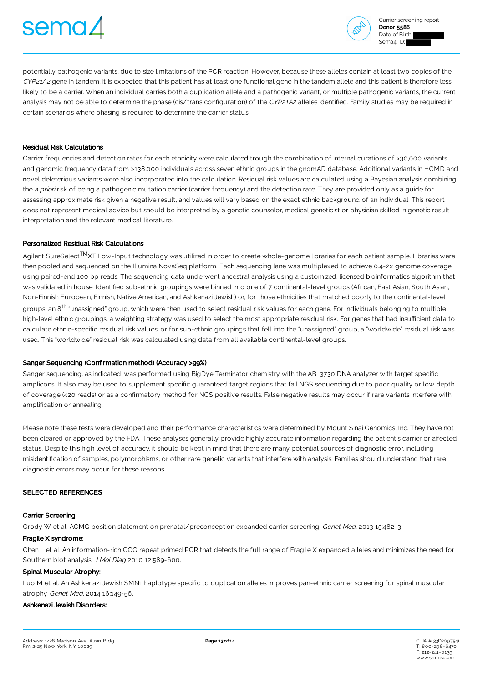



potentially pathogenic variants, due to size limitations of the PCR reaction. However, because these alleles contain at least two copies of the CYP21A2 gene in tandem, it is expected that this patient has at least one functional gene in the tandem allele and this patient is therefore less likely to be a carrier. When an individual carries both a duplication allele and a pathogenic variant, or multiple pathogenic variants, the current analysis may not be able to determine the phase (cis/trans configuration) of the CYP21A2 alleles identified. Family studies may be required in certain scenarios where phasing is required to determine the carrier status.

### Residual Risk Calculations

Carrier frequencies and detection rates for each ethnicity were calculated trough the combination of internal curations of >30,000 variants and genomic frequency data from >138,000 individuals across seven ethnic groups in the gnomAD database. Additional variants in HGMD and novel deleterious variants were also incorporated into the calculation. Residual risk values are calculated using a Bayesian analysis combining the a priori risk of being a pathogenic mutation carrier (carrier frequency) and the detection rate. They are provided only as a guide for assessing approximate risk given a negative result, and values will vary based on the exact ethnic background of an individual. This report does not represent medical advice but should be interpreted by a genetic counselor, medical geneticist or physician skilled in genetic result interpretation and the relevant medical literature.

## Personalized Residual Risk Calculations

Agilent SureSelect<sup>TM</sup>XT Low-Input technology was utilized in order to create whole-genome libraries for each patient sample. Libraries were then pooled and sequenced on the Illumina NovaSeq platform. Each sequencing lane was multiplexed to achieve 0.4-2x genome coverage, using paired-end 100 bp reads. The sequencing data underwent ancestral analysis using a customized, licensed bioinformatics algorithm that was validated in house. Identified sub-ethnic groupings were binned into one of 7 continental-level groups (African, East Asian, South Asian, Non-Finnish European, Finnish, Native American, and Ashkenazi Jewish) or, for those ethnicities that matched poorly to the continental-level groups, an 8<sup>th</sup> "unassigned" group, which were then used to select residual risk values for each gene. For individuals belonging to multiple high-level ethnic groupings, a weighting strategy was used to select the most appropriate residual risk. For genes that had insufficient data to calculate ethnic-specific residual risk values, or for sub-ethnic groupings that fell into the "unassigned" group, a "worldwide" residual risk was used. This "worldwide" residual risk was calculated using data from all available continental-level groups.

#### Sanger Sequencing (Confirmation method) (Accuracy >99%)

Sanger sequencing, as indicated, was performed using BigDye Terminator chemistry with the ABI 3730 DNA analyzer with target specific amplicons. It also may be used to supplement specific guaranteed target regions that fail NGS sequencing due to poor quality or low depth of coverage (<20 reads) or as a confirmatory method for NGS positive results. False negative results may occur if rare variants interfere with amplification or annealing.

Please note these tests were developed and their performance characteristics were determined by Mount Sinai Genomics, Inc. They have not been cleared or approved by the FDA. These analyses generally provide highly accurate information regarding the patient's carrier or affected status. Despite this high level of accuracy, it should be kept in mind that there are many potential sources of diagnostic error, including misidentification of samples, polymorphisms, or other rare genetic variants that interfere with analysis. Families should understand that rare diagnostic errors may occur for these reasons.

## SELECTED REFERENCES

#### Carrier Screening

Grody W et al. ACMG position statement on prenatal/preconception expanded carrier screening. Genet Med. 2013 15:482-3.

#### Fragile X syndrome:

Chen L et al. An information-rich CGG repeat primed PCR that detects the full range of Fragile X expanded alleles and minimizes the need for Southern blot analysis. J Mol Diag 2010 12:589-600.

### Spinal Muscular Atrophy:

Luo M et al. An Ashkenazi Jewish SMN1 haplotype specific to duplication alleles improves pan-ethnic carrier screening for spinal muscular atrophy. Genet Med. 2014 16:149-56.

#### Ashkenazi Jewish Disorders: